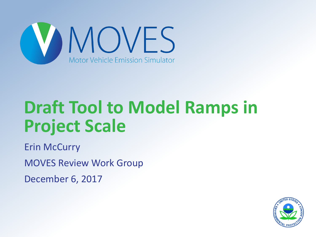

### **Draft Tool to Model Ramps in Project Scale**

Erin McCurry MOVES Review Work Group December 6, 2017

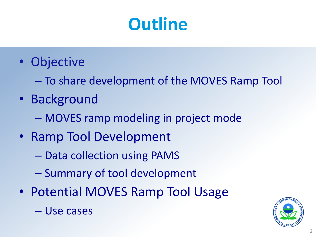## **Outline**

- Objective
	- To share development of the MOVES Ramp Tool
- Background
	- MOVES ramp modeling in project mode
- Ramp Tool Development
	- Data collection using PAMS
	- Summary of tool development
- Potential MOVES Ramp Tool Usage



– Use cases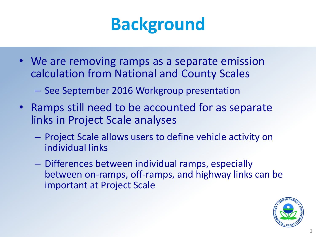

- We are removing ramps as a separate emission calculation from National and County Scales
	- See September 2016 Workgroup presentation
- Ramps still need to be accounted for as separate links in Project Scale analyses
	- Project Scale allows users to define vehicle activity on individual links
	- Differences between individual ramps, especially between on-ramps, off-ramps, and highway links can be important at Project Scale

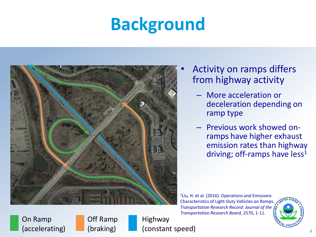## **Background**



- Activity on ramps differs from highway activity
	- More acceleration or deceleration depending on ramp type
	- Previous work showed onramps have higher exhaust emission rates than highway driving; off-ramps have  $less<sup>1</sup>$

<sup>1</sup>Liu, H. et al. (2016). Operations and Emissions Characteristics of Light-Duty Vehicles on Ramps. *Transportation Research Record: Journal of the Transportation Research Board,* 2570, 1-11.



On Ramp (accelerating) Off Ramp (braking)

Highway (constant speed)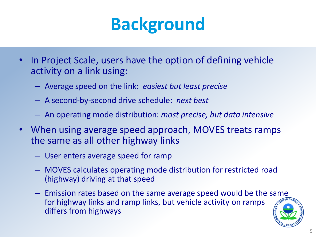## **Background**

- In Project Scale, users have the option of defining vehicle activity on a link using:
	- Average speed on the link: *easiest but least precise*
	- A second-by-second drive schedule: *next best*
	- An operating mode distribution: *most precise, but data intensive*
- When using average speed approach, MOVES treats ramps the same as all other highway links
	- User enters average speed for ramp
	- MOVES calculates operating mode distribution for restricted road (highway) driving at that speed
	- Emission rates based on the same average speed would be the same for highway links and ramp links, but vehicle activity on ramps differs from highways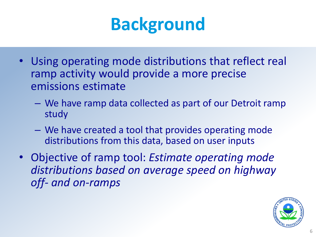## **Background**

- Using operating mode distributions that reflect real ramp activity would provide a more precise emissions estimate
	- We have ramp data collected as part of our Detroit ramp study
	- We have created a tool that provides operating mode distributions from this data, based on user inputs
- Objective of ramp tool: *Estimate operating mode distributions based on average speed on highway off- and on-ramps*

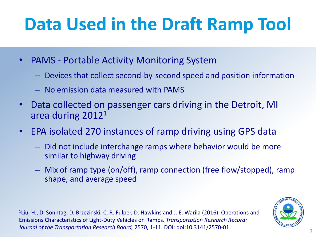# **Data Used in the Draft Ramp Tool**

- PAMS Portable Activity Monitoring System
	- Devices that collect second-by-second speed and position information
	- No emission data measured with PAMS
- Data collected on passenger cars driving in the Detroit, MI area during 2012<sup>1</sup>
- EPA isolated 270 instances of ramp driving using GPS data
	- Did not include interchange ramps where behavior would be more similar to highway driving
	- Mix of ramp type (on/off), ramp connection (free flow/stopped), ramp shape, and average speed

<sup>1</sup>Liu, H., D. Sonntag, D. Brzezinski, C. R. Fulper, D. Hawkins and J. E. Warila (2016). Operations and Emissions Characteristics of Light-Duty Vehicles on Ramps. *Transportation Research Record: Journal of the Transportation Research Board,* 2570, 1-11. DOI: doi:10.3141/2570-01.

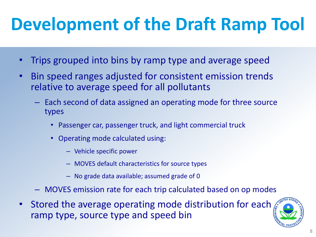# **Development of the Draft Ramp Tool**

- Trips grouped into bins by ramp type and average speed
- Bin speed ranges adjusted for consistent emission trends relative to average speed for all pollutants
	- Each second of data assigned an operating mode for three source types
		- Passenger car, passenger truck, and light commercial truck
		- Operating mode calculated using:
			- Vehicle specific power
			- MOVES default characteristics for source types
			- No grade data available; assumed grade of 0
	- MOVES emission rate for each trip calculated based on op modes
- Stored the average operating mode distribution for each ramp type, source type and speed bin

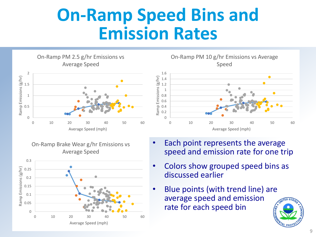#### **On-Ramp Speed Bins and Emission Rates**

Average Speed 2 Ramp Emissions (g/hr) Ramp Emissions (g/hr) 1.5 1 0.5 0 0 10 20 30 40 50 60 Average Speed (mph)

On-Ramp PM 2.5 g/hr Emissions vs

On-Ramp Brake Wear g/hr Emissions vs Average Speed



On-Ramp PM 10 g/hr Emissions vs Average Speed



- Each point represents the average speed and emission rate for one trip
- Colors show grouped speed bins as discussed earlier
- Blue points (with trend line) are average speed and emission rate for each speed bin

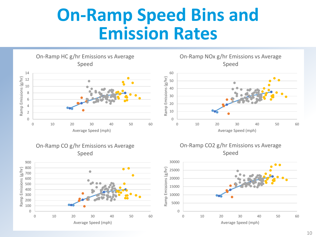#### **On-Ramp Speed Bins and Emission Rates**

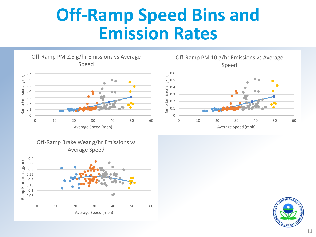#### **Off-Ramp Speed Bins and Emission Rates**







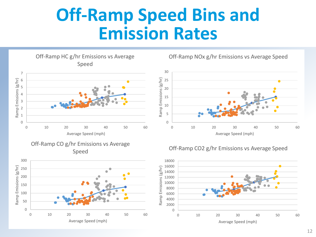#### **Off-Ramp Speed Bins and Emission Rates**







Off-Ramp NOx g/hr Emissions vs Average Speed



#### Off-Ramp CO2 g/hr Emissions vs Average Speed

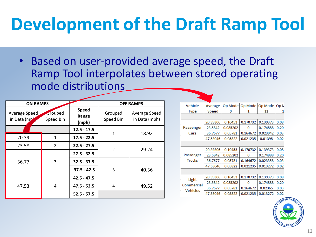# **Development of the Draft Ramp Tool**

• Based on user-provided average speed, the Draft Ramp Tool interpolates between stored operating mode distributions

| <b>ON RAMPS</b>               |                      |                                | <b>OFF RAMPS</b>     |                                |  |
|-------------------------------|----------------------|--------------------------------|----------------------|--------------------------------|--|
| Average Speed<br>in Data (mpl | Grouped<br>Speed Bin | <b>Speed</b><br>Range<br>(mph) | Grouped<br>Speed Bin | Average Speed<br>in Data (mph) |  |
|                               |                      | $12.5 - 17.5$                  | $\mathbf{1}$         | 18.92                          |  |
| 20.39                         | 1                    | $17.5 - 22.5$                  |                      |                                |  |
| 23.58                         | $\overline{2}$       | $22.5 - 27.5$                  | $\overline{2}$       | 29.24                          |  |
| 36.77                         | 3                    | $27.5 - 32.5$                  |                      |                                |  |
|                               |                      | $32.5 - 37.5$                  |                      |                                |  |
|                               |                      | $37.5 - 42.5$                  | 3                    | 40.36                          |  |
|                               |                      | $42.5 - 47.5$                  |                      |                                |  |
| 47.53                         | 4                    | $47.5 - 52.5$                  | 4                    | 49.52                          |  |
|                               |                      | $52.5 - 57.5$                  |                      |                                |  |

| Vehicle             | Average  |          | Op Mode   Op Mode | Op Mode  | Op <sub>N</sub> |  |  |  |  |
|---------------------|----------|----------|-------------------|----------|-----------------|--|--|--|--|
| <b>Type</b>         | Speed    | 0        | 1                 | 11       | 1               |  |  |  |  |
|                     |          |          |                   |          |                 |  |  |  |  |
|                     | 20.39306 | 0.10453  | 0.170732          | 0.139373 | 0.08            |  |  |  |  |
| Passenger<br>Cars   | 23.5842  | 0.085202 | o                 | 0.174888 | 0.20(           |  |  |  |  |
|                     | 36.7677  | 0.05781  | 0.164672          | 0.023942 | 0.031           |  |  |  |  |
|                     | 47.53046 | 0.05822  | 0.021235          | 0.01398  | 0.020           |  |  |  |  |
|                     |          |          |                   |          |                 |  |  |  |  |
|                     | 20.39306 | 0.10453  | 0.170732          | 0.139373 | 0.08            |  |  |  |  |
| Passenger           | 23.5842  | 0.085202 | n                 | 0.174888 | 0.201           |  |  |  |  |
| <b>Trucks</b>       | 36.7677  | 0.05781  | 0.164672          | 0.023358 | 0.03(           |  |  |  |  |
|                     | 47.53046 | 0.05822  | 0.021235          | 0.013272 | 0.02            |  |  |  |  |
|                     |          |          |                   |          |                 |  |  |  |  |
| Light<br>Commercial | 20.39306 | 0.10453  | 0.170732          | 0.139373 | 0.08            |  |  |  |  |
|                     | 23.5842  | 0.085202 | n                 | 0.174888 | 0.20            |  |  |  |  |
|                     | 36.7677  | 0.05781  | 0.164672          | 0.02365  | 0.03(           |  |  |  |  |
| Vehicles            | 47.53046 | 0.05822  | 0.021235          | 0.013272 | 0.021           |  |  |  |  |

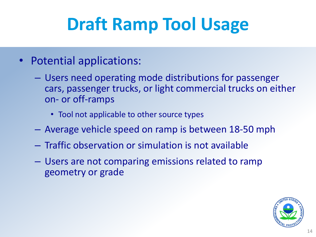# **Draft Ramp Tool Usage**

- Potential applications:
	- Users need operating mode distributions for passenger cars, passenger trucks, or light commercial trucks on either on- or off-ramps
		- Tool not applicable to other source types
	- Average vehicle speed on ramp is between 18-50 mph
	- Traffic observation or simulation is not available
	- Users are not comparing emissions related to ramp geometry or grade